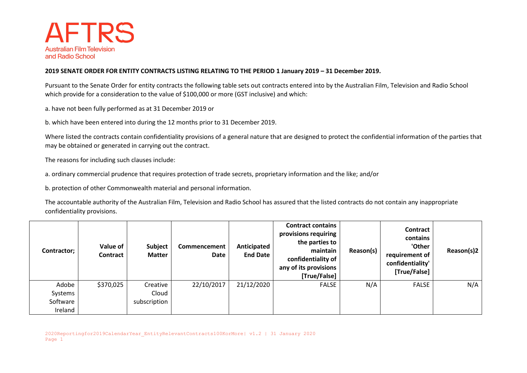

## **2019 SENATE ORDER FOR ENTITY CONTRACTS LISTING RELATING TO THE PERIOD 1 January 2019 – 31 December 2019.**

Pursuant to the Senate Order for entity contracts the following table sets out contracts entered into by the Australian Film, Television and Radio School which provide for a consideration to the value of \$100,000 or more (GST inclusive) and which:

a. have not been fully performed as at 31 December 2019 or

b. which have been entered into during the 12 months prior to 31 December 2019.

Where listed the contracts contain confidentiality provisions of a general nature that are designed to protect the confidential information of the parties that may be obtained or generated in carrying out the contract.

The reasons for including such clauses include:

a. ordinary commercial prudence that requires protection of trade secrets, proprietary information and the like; and/or

b. protection of other Commonwealth material and personal information.

The accountable authority of the Australian Film, Television and Radio School has assured that the listed contracts do not contain any inappropriate confidentiality provisions.

| Contractor; | Value of<br>Contract | Subject<br><b>Matter</b> | Commencement<br>Date | Anticipated<br><b>End Date</b> | <b>Contract contains</b><br>provisions requiring<br>the parties to<br>maintain<br>confidentiality of<br>any of its provisions<br>[True/False] | Reason(s) | Contract<br>contains<br>'Other<br>requirement of<br>confidentiality'<br>[True/False] | Reason(s)2 |
|-------------|----------------------|--------------------------|----------------------|--------------------------------|-----------------------------------------------------------------------------------------------------------------------------------------------|-----------|--------------------------------------------------------------------------------------|------------|
| Adobe       | \$370,025            | Creative                 | 22/10/2017           | 21/12/2020                     | <b>FALSE</b>                                                                                                                                  | N/A       | <b>FALSE</b>                                                                         | N/A        |
| Systems     |                      | Cloud                    |                      |                                |                                                                                                                                               |           |                                                                                      |            |
| Software    |                      | subscription             |                      |                                |                                                                                                                                               |           |                                                                                      |            |
| Ireland     |                      |                          |                      |                                |                                                                                                                                               |           |                                                                                      |            |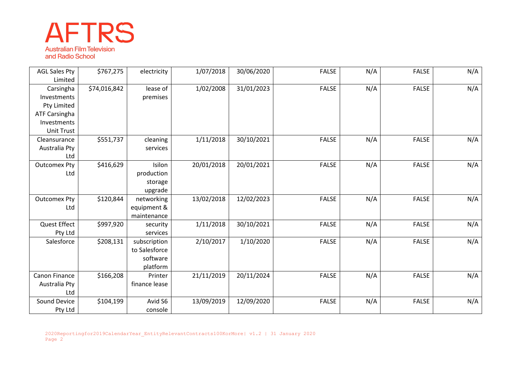## **AFTRS Australian Film Television** and Radio School

| <b>AGL Sales Pty</b> | \$767,275    | electricity   | 1/07/2018  | 30/06/2020 | <b>FALSE</b> | N/A | <b>FALSE</b> | N/A |
|----------------------|--------------|---------------|------------|------------|--------------|-----|--------------|-----|
| Limited              |              |               |            |            |              |     |              |     |
| Carsingha            | \$74,016,842 | lease of      | 1/02/2008  | 31/01/2023 | <b>FALSE</b> | N/A | <b>FALSE</b> | N/A |
| Investments          |              | premises      |            |            |              |     |              |     |
| Pty Limited          |              |               |            |            |              |     |              |     |
| <b>ATF Carsingha</b> |              |               |            |            |              |     |              |     |
| Investments          |              |               |            |            |              |     |              |     |
| <b>Unit Trust</b>    |              |               |            |            |              |     |              |     |
| Cleansurance         | \$551,737    | cleaning      | 1/11/2018  | 30/10/2021 | <b>FALSE</b> | N/A | <b>FALSE</b> | N/A |
| Australia Pty        |              | services      |            |            |              |     |              |     |
| Ltd                  |              |               |            |            |              |     |              |     |
| <b>Outcomex Pty</b>  | \$416,629    | Isilon        | 20/01/2018 | 20/01/2021 | <b>FALSE</b> | N/A | <b>FALSE</b> | N/A |
| Ltd                  |              | production    |            |            |              |     |              |     |
|                      |              | storage       |            |            |              |     |              |     |
|                      |              | upgrade       |            |            |              |     |              |     |
| <b>Outcomex Pty</b>  | \$120,844    | networking    | 13/02/2018 | 12/02/2023 | <b>FALSE</b> | N/A | <b>FALSE</b> | N/A |
| Ltd                  |              | equipment &   |            |            |              |     |              |     |
|                      |              | maintenance   |            |            |              |     |              |     |
| <b>Quest Effect</b>  | \$997,920    | security      | 1/11/2018  | 30/10/2021 | <b>FALSE</b> | N/A | <b>FALSE</b> | N/A |
| Pty Ltd              |              | services      |            |            |              |     |              |     |
| Salesforce           | \$208,131    | subscription  | 2/10/2017  | 1/10/2020  | <b>FALSE</b> | N/A | <b>FALSE</b> | N/A |
|                      |              | to Salesforce |            |            |              |     |              |     |
|                      |              | software      |            |            |              |     |              |     |
|                      |              | platform      |            |            |              |     |              |     |
| Canon Finance        | \$166,208    | Printer       | 21/11/2019 | 20/11/2024 | <b>FALSE</b> | N/A | <b>FALSE</b> | N/A |
| Australia Pty        |              | finance lease |            |            |              |     |              |     |
| Ltd                  |              |               |            |            |              |     |              |     |
| Sound Device         | \$104,199    | Avid S6       | 13/09/2019 | 12/09/2020 | <b>FALSE</b> | N/A | <b>FALSE</b> | N/A |
| Pty Ltd              |              | console       |            |            |              |     |              |     |